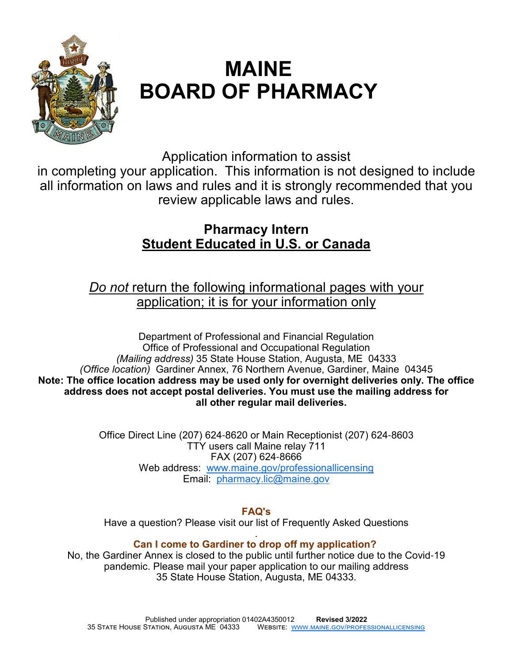

# **MAINE BOARD OF PHARMACY**

Application information to assist

in completing your application. This information is not designed to include all information on laws and rules and it is strongly recommended that you review applicable laws and rules.

## **Pharmacy Intern Student Educated in U.S. or Canada**

## *Do not* return the following informational pages with your application; it is for your information only

Department of Professional and Financial Regulation Office of Professional and Occupational Regulation *(Mailing address)* 35 State House Station, Augusta, ME 04333 *(Office location)* Gardiner Annex, 76 Northern Avenue, Gardiner, Maine 04345 **Note: The office location address may be used only for overnight deliveries only. The office address does not accept postal deliveries. You must use the mailing address for all other regular mail deliveries.**

> Office Direct Line (207) 624-8620 or Main Receptionist (207) 624-8603 TTY users call Maine relay 711 FAX (207) 624-8666 Web address: www.maine.gov/professionallicensing Email: pharmacy.lic@maine.gov

> > **FAQ's**

Have a question? Please visit our list of Frequently Asked Questions

#### . **Can I come to Gardiner to drop off my application?**

No, the Gardiner Annex is closed to the public until further notice due to the Covid-19 pandemic. Please mail your paper application to our mailing address 35 State House Station, Augusta, ME 04333.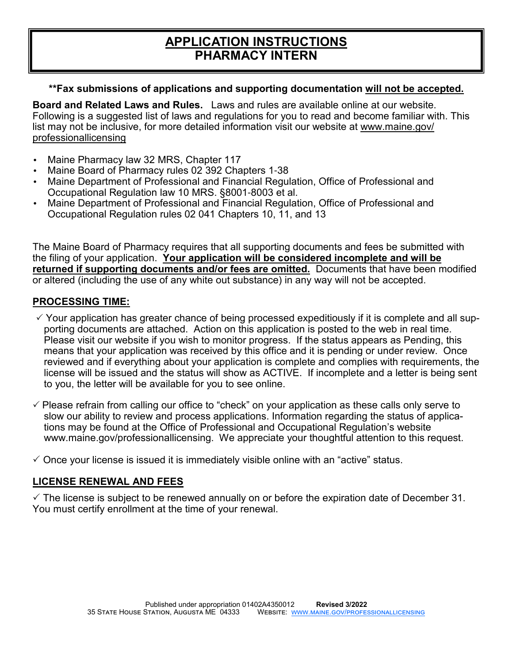### **APPLICATION INSTRUCTIONS PHARMACY INTERN**

#### **\*\*Fax submissions of applications and supporting documentation will not be accepted.**

**Board and Related Laws and Rules.** Laws and rules are available online at our website. Following is a suggested list of laws and regulations for you to read and become familiar with. This list may not be inclusive, for more detailed information visit our website at www.maine.gov/ professionallicensing

- Maine Pharmacy law 32 MRS, Chapter 117
- Maine Board of Pharmacy rules 02 392 Chapters 1-38
- Maine Department of Professional and Financial Regulation, Office of Professional and Occupational Regulation law 10 MRS. §8001-8003 et al.
- Maine Department of Professional and Financial Regulation, Office of Professional and Occupational Regulation rules 02 041 Chapters 10, 11, and 13

The Maine Board of Pharmacy requires that all supporting documents and fees be submitted with the filing of your application. **Your application will be considered incomplete and will be returned if supporting documents and/or fees are omitted.** Documents that have been modified or altered (including the use of any white out substance) in any way will not be accepted.

#### **PROCESSING TIME:**

- $\checkmark$  Your application has greater chance of being processed expeditiously if it is complete and all supporting documents are attached. Action on this application is posted to the web in real time. Please visit our website if you wish to monitor progress. If the status appears as Pending, this means that your application was received by this office and it is pending or under review. Once reviewed and if everything about your application is complete and complies with requirements, the license will be issued and the status will show as ACTIVE. If incomplete and a letter is being sent to you, the letter will be available for you to see online.
- $\checkmark$  Please refrain from calling our office to "check" on your application as these calls only serve to slow our ability to review and process applications. Information regarding the status of applications may be found at the Office of Professional and Occupational Regulation's website www.maine.gov/professionallicensing. We appreciate your thoughtful attention to this request.

 $\checkmark$  Once your license is issued it is immediately visible online with an "active" status.

#### **LICENSE RENEWAL AND FEES**

 $\checkmark$  The license is subject to be renewed annually on or before the expiration date of December 31. You must certify enrollment at the time of your renewal.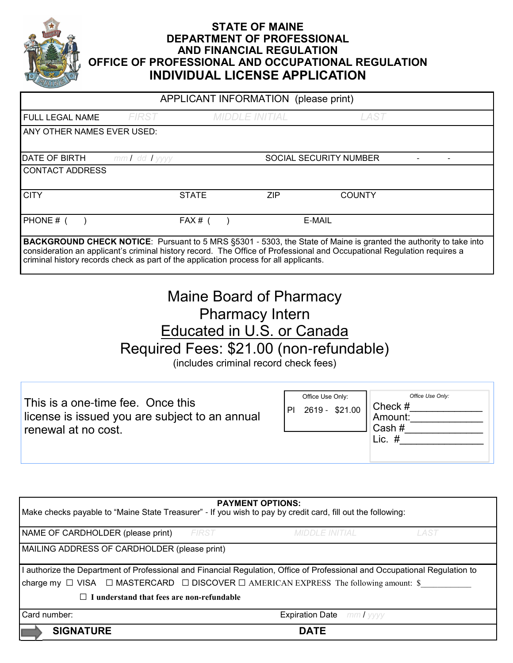

#### **STATE OF MAINE DEPARTMENT OF PROFESSIONAL AND FINANCIAL REGULATION OFFICE OF PROFESSIONAL AND OCCUPATIONAL REGULATION INDIVIDUAL LICENSE APPLICATION**

| APPLICANT INFORMATION (please print)                                                                                                                                                                                                                                                                                                         |                   |              |                       |            |                        |               |  |
|----------------------------------------------------------------------------------------------------------------------------------------------------------------------------------------------------------------------------------------------------------------------------------------------------------------------------------------------|-------------------|--------------|-----------------------|------------|------------------------|---------------|--|
| <b>FULL LEGAL NAME</b>                                                                                                                                                                                                                                                                                                                       | <b>FIRST</b>      |              | <b>MIDDLE INITIAL</b> |            |                        | LAST          |  |
| ANY OTHER NAMES EVER USED:                                                                                                                                                                                                                                                                                                                   |                   |              |                       |            |                        |               |  |
|                                                                                                                                                                                                                                                                                                                                              |                   |              |                       |            |                        |               |  |
| DATE OF BIRTH                                                                                                                                                                                                                                                                                                                                | $mmI$ dd $I$ yyyy |              |                       |            | SOCIAL SECURITY NUMBER |               |  |
| <b>CONTACT ADDRESS</b>                                                                                                                                                                                                                                                                                                                       |                   |              |                       |            |                        |               |  |
| <b>CITY</b>                                                                                                                                                                                                                                                                                                                                  |                   | <b>STATE</b> |                       | <b>ZIP</b> |                        | <b>COUNTY</b> |  |
| PHONE # (                                                                                                                                                                                                                                                                                                                                    |                   | FAX#(        |                       |            | E-MAIL                 |               |  |
| <b>BACKGROUND CHECK NOTICE:</b> Pursuant to 5 MRS §5301 - 5303, the State of Maine is granted the authority to take into<br>consideration an applicant's criminal history record. The Office of Professional and Occupational Regulation requires a<br>criminal history records check as part of the application process for all applicants. |                   |              |                       |            |                        |               |  |

| <b>Maine Board of Pharmacy</b>          |  |  |  |  |
|-----------------------------------------|--|--|--|--|
| <b>Pharmacy Intern</b>                  |  |  |  |  |
| Educated in U.S. or Canada              |  |  |  |  |
| Required Fees: \$21.00 (non-refundable) |  |  |  |  |
| (includes criminal record check fees)   |  |  |  |  |

 This is a one-time fee. Once this license is issued you are subject to an annual renewal at no cost. *Office Use Only:* Check # Amount: Cash  $\#$ Lic.  $\#$ Office Use Only: PI 2619 - \$21.00

| <b>PAYMENT OPTIONS:</b><br>Make checks payable to "Maine State Treasurer" - If you wish to pay by credit card, fill out the following: |              |                                  |      |  |  |
|----------------------------------------------------------------------------------------------------------------------------------------|--------------|----------------------------------|------|--|--|
| NAME OF CARDHOLDER (please print)                                                                                                      | <b>FIRST</b> | MIDDLE INITIAL                   | LAST |  |  |
| MAILING ADDRESS OF CARDHOLDER (please print)                                                                                           |              |                                  |      |  |  |
| I authorize the Department of Professional and Financial Regulation, Office of Professional and Occupational Regulation to             |              |                                  |      |  |  |
| charge my $\Box$ VISA $\Box$ MASTERCARD $\Box$ DISCOVER $\Box$ AMERICAN EXPRESS The following amount: \$                               |              |                                  |      |  |  |
| I understand that fees are non-refundable                                                                                              |              |                                  |      |  |  |
| Card number:                                                                                                                           |              | <b>Expiration Date</b> mm / yyyy |      |  |  |
| <b>SIGNATURE</b>                                                                                                                       |              | <b>DATE</b>                      |      |  |  |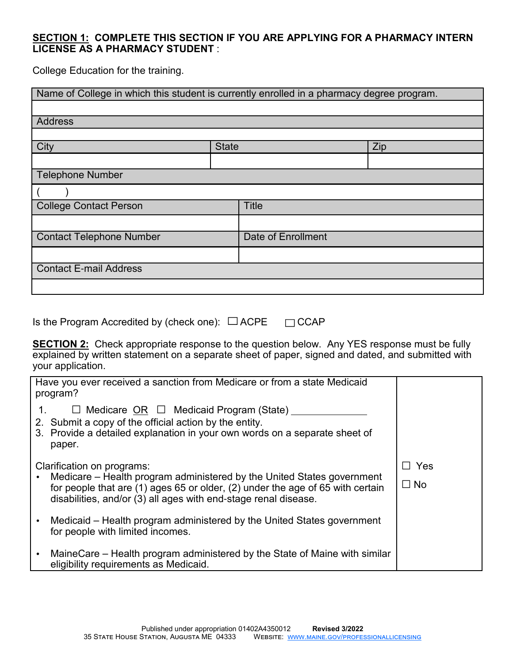#### **SECTION 1: COMPLETE THIS SECTION IF YOU ARE APPLYING FOR A PHARMACY INTERN LICENSE AS A PHARMACY STUDENT** :

College Education for the training.

| Name of College in which this student is currently enrolled in a pharmacy degree program. |              |                    |     |  |
|-------------------------------------------------------------------------------------------|--------------|--------------------|-----|--|
|                                                                                           |              |                    |     |  |
| <b>Address</b>                                                                            |              |                    |     |  |
|                                                                                           |              |                    |     |  |
| City                                                                                      | <b>State</b> |                    | Zip |  |
|                                                                                           |              |                    |     |  |
| <b>Telephone Number</b>                                                                   |              |                    |     |  |
|                                                                                           |              |                    |     |  |
| <b>College Contact Person</b>                                                             |              | <b>Title</b>       |     |  |
|                                                                                           |              |                    |     |  |
| <b>Contact Telephone Number</b>                                                           |              | Date of Enrollment |     |  |
|                                                                                           |              |                    |     |  |
| <b>Contact E-mail Address</b>                                                             |              |                    |     |  |
|                                                                                           |              |                    |     |  |

Is the Program Accredited by (check one):  $\Box$  ACPE  $\Box$  CCAP

**SECTION 2:** Check appropriate response to the question below. Any YES response must be fully explained by written statement on a separate sheet of paper, signed and dated, and submitted with your application.

| Have you ever received a sanction from Medicare or from a state Medicaid<br>program?                                                                                                                                                                      |                  |
|-----------------------------------------------------------------------------------------------------------------------------------------------------------------------------------------------------------------------------------------------------------|------------------|
| $\Box$ Medicare OR $\Box$ Medicaid Program (State) ___<br>2. Submit a copy of the official action by the entity.<br>3. Provide a detailed explanation in your own words on a separate sheet of<br>paper.                                                  |                  |
| Clarification on programs:<br>Medicare – Health program administered by the United States government<br>for people that are (1) ages 65 or older, (2) under the age of 65 with certain<br>disabilities, and/or (3) all ages with end-stage renal disease. | Yes<br>$\Box$ No |
| Medicaid – Health program administered by the United States government<br>for people with limited incomes.                                                                                                                                                |                  |
| MaineCare – Health program administered by the State of Maine with similar<br>eligibility requirements as Medicaid.                                                                                                                                       |                  |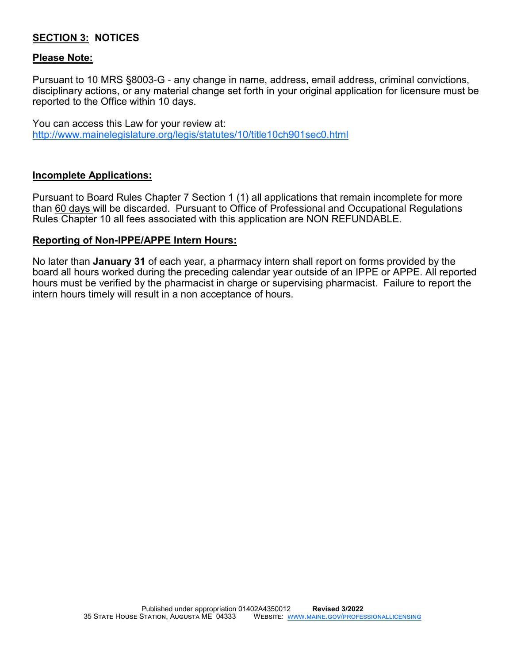#### **SECTION 3: NOTICES**

#### **Please Note:**

Pursuant to 10 MRS §8003-G - any change in name, address, email address, criminal convictions, disciplinary actions, or any material change set forth in your original application for licensure must be reported to the Office within 10 days.

You can access this Law for your review at: http://www.mainelegislature.org/legis/statutes/10/title10ch901sec0.html

#### **Incomplete Applications:**

Pursuant to Board Rules Chapter 7 Section 1 (1) all applications that remain incomplete for more than 60 days will be discarded. Pursuant to Office of Professional and Occupational Regulations Rules Chapter 10 all fees associated with this application are NON REFUNDABLE.

#### **Reporting of Non-IPPE/APPE Intern Hours:**

No later than **January 31** of each year, a pharmacy intern shall report on forms provided by the board all hours worked during the preceding calendar year outside of an IPPE or APPE. All reported hours must be verified by the pharmacist in charge or supervising pharmacist. Failure to report the intern hours timely will result in a non acceptance of hours.